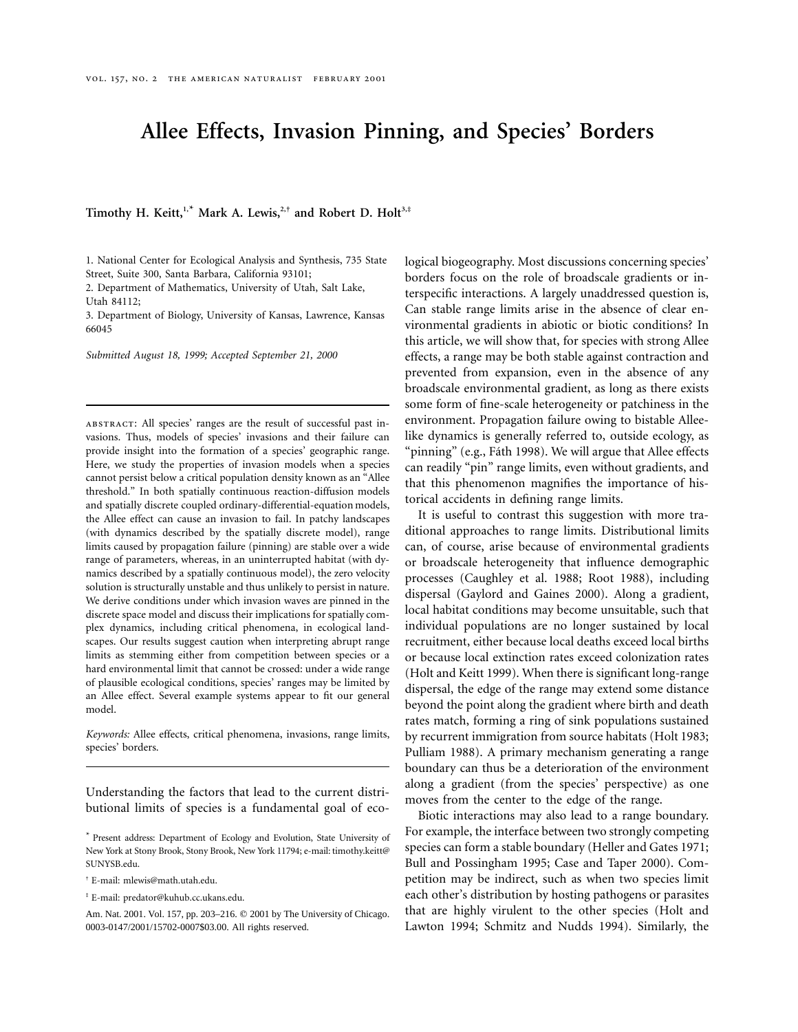# **Allee Effects, Invasion Pinning, and Species' Borders**

**Timothy H. Keitt,**<sup>1,\*</sup> Mark A. Lewis,<sup>2,†</sup> and Robert D. Holt<sup>3,‡</sup>

1. National Center for Ecological Analysis and Synthesis, 735 State Street, Suite 300, Santa Barbara, California 93101;

2. Department of Mathematics, University of Utah, Salt Lake, Utah 84112;

3. Department of Biology, University of Kansas, Lawrence, Kansas 66045

*Submitted August 18, 1999; Accepted September 21, 2000*

abstract: All species' ranges are the result of successful past invasions. Thus, models of species' invasions and their failure can provide insight into the formation of a species' geographic range. Here, we study the properties of invasion models when a species cannot persist below a critical population density known as an "Allee threshold." In both spatially continuous reaction-diffusion models and spatially discrete coupled ordinary-differential-equation models, the Allee effect can cause an invasion to fail. In patchy landscapes (with dynamics described by the spatially discrete model), range limits caused by propagation failure (pinning) are stable over a wide range of parameters, whereas, in an uninterrupted habitat (with dynamics described by a spatially continuous model), the zero velocity solution is structurally unstable and thus unlikely to persist in nature. We derive conditions under which invasion waves are pinned in the discrete space model and discuss their implications for spatially complex dynamics, including critical phenomena, in ecological landscapes. Our results suggest caution when interpreting abrupt range limits as stemming either from competition between species or a hard environmental limit that cannot be crossed: under a wide range of plausible ecological conditions, species' ranges may be limited by an Allee effect. Several example systems appear to fit our general model.

*Keywords:* Allee effects, critical phenomena, invasions, range limits, species' borders.

Understanding the factors that lead to the current distributional limits of species is a fundamental goal of ecological biogeography. Most discussions concerning species' borders focus on the role of broadscale gradients or interspecific interactions. A largely unaddressed question is, Can stable range limits arise in the absence of clear environmental gradients in abiotic or biotic conditions? In this article, we will show that, for species with strong Allee effects, a range may be both stable against contraction and prevented from expansion, even in the absence of any broadscale environmental gradient, as long as there exists some form of fine-scale heterogeneity or patchiness in the environment. Propagation failure owing to bistable Alleelike dynamics is generally referred to, outside ecology, as "pinning" (e.g., Fáth 1998). We will argue that Allee effects can readily "pin" range limits, even without gradients, and that this phenomenon magnifies the importance of historical accidents in defining range limits.

It is useful to contrast this suggestion with more traditional approaches to range limits. Distributional limits can, of course, arise because of environmental gradients or broadscale heterogeneity that influence demographic processes (Caughley et al. 1988; Root 1988), including dispersal (Gaylord and Gaines 2000). Along a gradient, local habitat conditions may become unsuitable, such that individual populations are no longer sustained by local recruitment, either because local deaths exceed local births or because local extinction rates exceed colonization rates (Holt and Keitt 1999). When there is significant long-range dispersal, the edge of the range may extend some distance beyond the point along the gradient where birth and death rates match, forming a ring of sink populations sustained by recurrent immigration from source habitats (Holt 1983; Pulliam 1988). A primary mechanism generating a range boundary can thus be a deterioration of the environment along a gradient (from the species' perspective) as one moves from the center to the edge of the range.

Biotic interactions may also lead to a range boundary. For example, the interface between two strongly competing species can form a stable boundary (Heller and Gates 1971; Bull and Possingham 1995; Case and Taper 2000). Competition may be indirect, such as when two species limit each other's distribution by hosting pathogens or parasites that are highly virulent to the other species (Holt and Lawton 1994; Schmitz and Nudds 1994). Similarly, the

<sup>\*</sup> Present address: Department of Ecology and Evolution, State University of New York at Stony Brook, Stony Brook, New York 11794; e-mail: timothy.keitt@ SUNYSB.edu.

<sup>†</sup> E-mail: mlewis@math.utah.edu.

<sup>‡</sup> E-mail: predator@kuhub.cc.ukans.edu.

Am. Nat. 2001. Vol. 157, pp. 203–216.  $©$  2001 by The University of Chicago. 0003-0147/2001/15702-0007\$03.00. All rights reserved.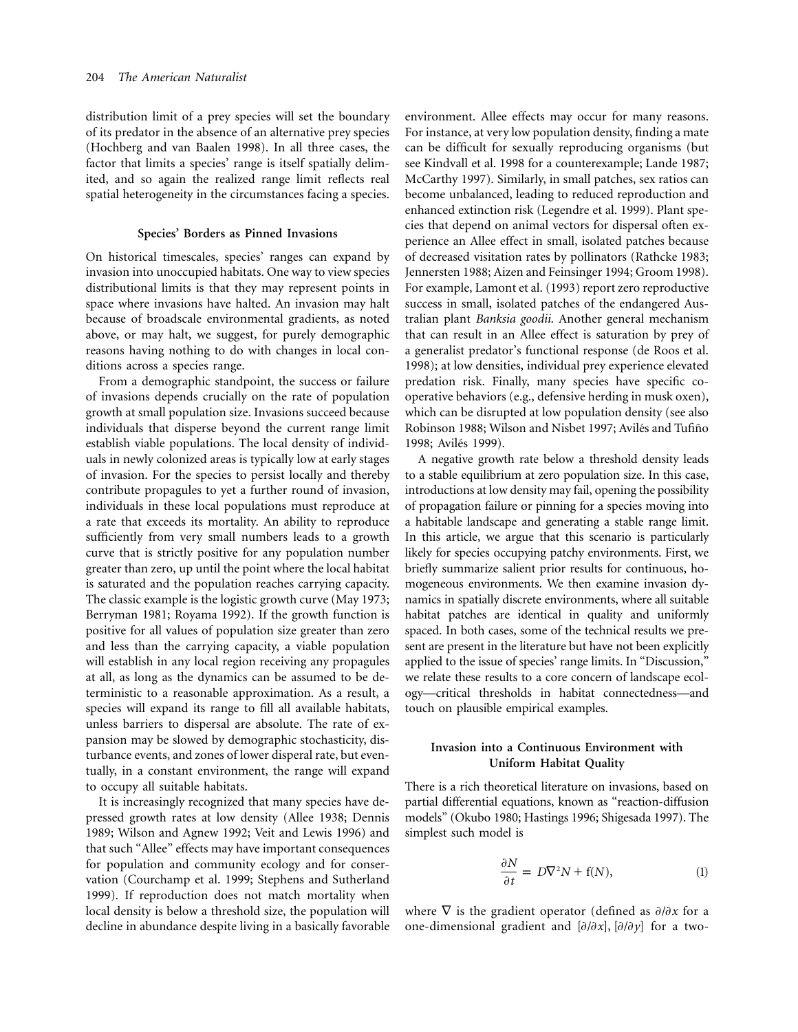distribution limit of a prey species will set the boundary of its predator in the absence of an alternative prey species (Hochberg and van Baalen 1998). In all three cases, the factor that limits a species' range is itself spatially delimited, and so again the realized range limit reflects real spatial heterogeneity in the circumstances facing a species.

#### **Species' Borders as Pinned Invasions**

On historical timescales, species' ranges can expand by invasion into unoccupied habitats. One way to view species distributional limits is that they may represent points in space where invasions have halted. An invasion may halt because of broadscale environmental gradients, as noted above, or may halt, we suggest, for purely demographic reasons having nothing to do with changes in local conditions across a species range.

From a demographic standpoint, the success or failure of invasions depends crucially on the rate of population growth at small population size. Invasions succeed because individuals that disperse beyond the current range limit establish viable populations. The local density of individuals in newly colonized areas is typically low at early stages of invasion. For the species to persist locally and thereby contribute propagules to yet a further round of invasion, individuals in these local populations must reproduce at a rate that exceeds its mortality. An ability to reproduce sufficiently from very small numbers leads to a growth curve that is strictly positive for any population number greater than zero, up until the point where the local habitat is saturated and the population reaches carrying capacity. The classic example is the logistic growth curve (May 1973; Berryman 1981; Royama 1992). If the growth function is positive for all values of population size greater than zero and less than the carrying capacity, a viable population will establish in any local region receiving any propagules at all, as long as the dynamics can be assumed to be deterministic to a reasonable approximation. As a result, a species will expand its range to fill all available habitats, unless barriers to dispersal are absolute. The rate of expansion may be slowed by demographic stochasticity, disturbance events, and zones of lower disperal rate, but eventually, in a constant environment, the range will expand to occupy all suitable habitats.

It is increasingly recognized that many species have depressed growth rates at low density (Allee 1938; Dennis 1989; Wilson and Agnew 1992; Veit and Lewis 1996) and that such "Allee" effects may have important consequences for population and community ecology and for conservation (Courchamp et al. 1999; Stephens and Sutherland 1999). If reproduction does not match mortality when local density is below a threshold size, the population will decline in abundance despite living in a basically favorable

environment. Allee effects may occur for many reasons. For instance, at very low population density, finding a mate can be difficult for sexually reproducing organisms (but see Kindvall et al. 1998 for a counterexample; Lande 1987; McCarthy 1997). Similarly, in small patches, sex ratios can become unbalanced, leading to reduced reproduction and enhanced extinction risk (Legendre et al. 1999). Plant species that depend on animal vectors for dispersal often experience an Allee effect in small, isolated patches because of decreased visitation rates by pollinators (Rathcke 1983; Jennersten 1988; Aizen and Feinsinger 1994; Groom 1998). For example, Lamont et al. (1993) report zero reproductive success in small, isolated patches of the endangered Australian plant *Banksia goodii*. Another general mechanism that can result in an Allee effect is saturation by prey of a generalist predator's functional response (de Roos et al. 1998); at low densities, individual prey experience elevated predation risk. Finally, many species have specific cooperative behaviors (e.g., defensive herding in musk oxen), which can be disrupted at low population density (see also Robinson 1988; Wilson and Nisbet 1997; Avilés and Tufiño 1998; Avilés 1999).

A negative growth rate below a threshold density leads to a stable equilibrium at zero population size. In this case, introductions at low density may fail, opening the possibility of propagation failure or pinning for a species moving into a habitable landscape and generating a stable range limit. In this article, we argue that this scenario is particularly likely for species occupying patchy environments. First, we briefly summarize salient prior results for continuous, homogeneous environments. We then examine invasion dynamics in spatially discrete environments, where all suitable habitat patches are identical in quality and uniformly spaced. In both cases, some of the technical results we present are present in the literature but have not been explicitly applied to the issue of species' range limits. In "Discussion," we relate these results to a core concern of landscape ecology—critical thresholds in habitat connectedness—and touch on plausible empirical examples.

# **Invasion into a Continuous Environment with Uniform Habitat Quality**

There is a rich theoretical literature on invasions, based on partial differential equations, known as "reaction-diffusion models" (Okubo 1980; Hastings 1996; Shigesada 1997). The simplest such model is

$$
\frac{\partial N}{\partial t} = D\nabla^2 N + f(N),\tag{1}
$$

where  $\nabla$  is the gradient operator (defined as  $\partial/\partial x$  for a one-dimensional gradient and  $[\partial/\partial x]$ ,  $[\partial/\partial y]$  for a two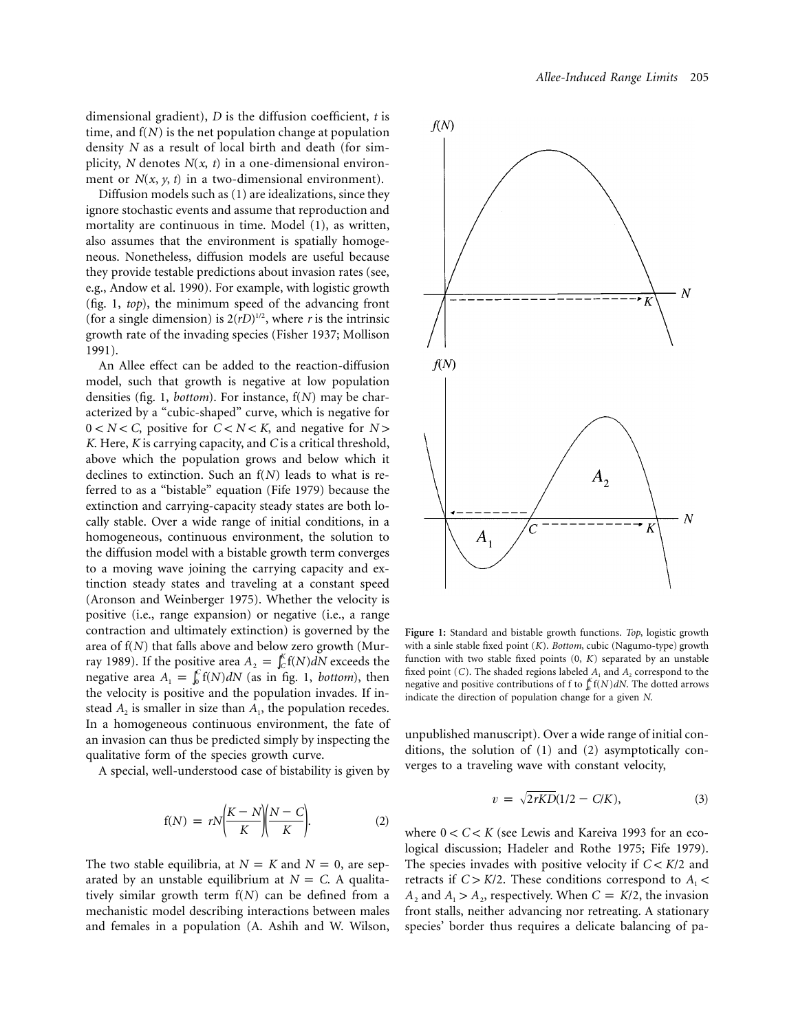dimensional gradient), *D* is the diffusion coefficient, *t* is time, and  $f(N)$  is the net population change at population density *N* as a result of local birth and death (for simplicity, *N* denotes  $N(x, t)$  in a one-dimensional environment or  $N(x, y, t)$  in a two-dimensional environment).

Diffusion models such as (1) are idealizations, since they ignore stochastic events and assume that reproduction and mortality are continuous in time. Model (1), as written, also assumes that the environment is spatially homogeneous. Nonetheless, diffusion models are useful because they provide testable predictions about invasion rates (see, e.g., Andow et al. 1990). For example, with logistic growth (fig. 1, *top*), the minimum speed of the advancing front (for a single dimension) is  $2(rD)^{1/2}$ , where *r* is the intrinsic growth rate of the invading species (Fisher 1937; Mollison 1991).

An Allee effect can be added to the reaction-diffusion model, such that growth is negative at low population densities (fig. 1, *bottom*). For instance, f(*N*) may be characterized by a "cubic-shaped" curve, which is negative for  $0 < N < C$ , positive for  $C < N < K$ , and negative for  $N > 0$ *K*. Here, *K* is carrying capacity, and *C* is a critical threshold, above which the population grows and below which it declines to extinction. Such an f(*N*) leads to what is referred to as a "bistable" equation (Fife 1979) because the extinction and carrying-capacity steady states are both locally stable. Over a wide range of initial conditions, in a homogeneous, continuous environment, the solution to the diffusion model with a bistable growth term converges to a moving wave joining the carrying capacity and extinction steady states and traveling at a constant speed (Aronson and Weinberger 1975). Whether the velocity is positive (i.e., range expansion) or negative (i.e., a range contraction and ultimately extinction) is governed by the area of f(*N*) that falls above and below zero growth (Murray 1989). If the positive area  $A_2 = \int_C^K f(N) dN$  exceeds the negative area  $A_1 = \int_0^C f(N) dN$  (as in fig. 1, *bottom*), then the velocity is positive and the population invades. If instead  $A_2$  is smaller in size than  $A_1$ , the population recedes. In a homogeneous continuous environment, the fate of an invasion can thus be predicted simply by inspecting the qualitative form of the species growth curve.

A special, well-understood case of bistability is given by

$$
f(N) = rN\left(\frac{K-N}{K}\right)\left(\frac{N-C}{K}\right). \tag{2}
$$

The two stable equilibria, at  $N = K$  and  $N = 0$ , are separated by an unstable equilibrium at  $N = C$ . A qualitatively similar growth term f(*N*) can be defined from a mechanistic model describing interactions between males and females in a population (A. Ashih and W. Wilson,



**Figure 1:** Standard and bistable growth functions. *Top*, logistic growth with a sinle stable fixed point (*K*). *Bottom*, cubic (Nagumo-type) growth function with two stable fixed points (0, *K*) separated by an unstable fixed point  $(C)$ . The shaded regions labeled  $A_1$  and  $A_2$  correspond to the negative and positive contributions of f to  $\int_0^K f(N) dN$ . The dotted arrows indicate the direction of population change for a given *N*.

unpublished manuscript). Over a wide range of initial conditions, the solution of (1) and (2) asymptotically converges to a traveling wave with constant velocity,

$$
v = \sqrt{2rKD(1/2 - C/K)},
$$
\n(3)

where  $0 < C < K$  (see Lewis and Kareiva 1993 for an ecological discussion; Hadeler and Rothe 1975; Fife 1979). The species invades with positive velocity if  $C < K/2$  and retracts if  $C > K/2$ . These conditions correspond to  $A<sub>1</sub>$  $A_2$  and  $A_1 > A_2$ , respectively. When  $C = K/2$ , the invasion front stalls, neither advancing nor retreating. A stationary species' border thus requires a delicate balancing of pa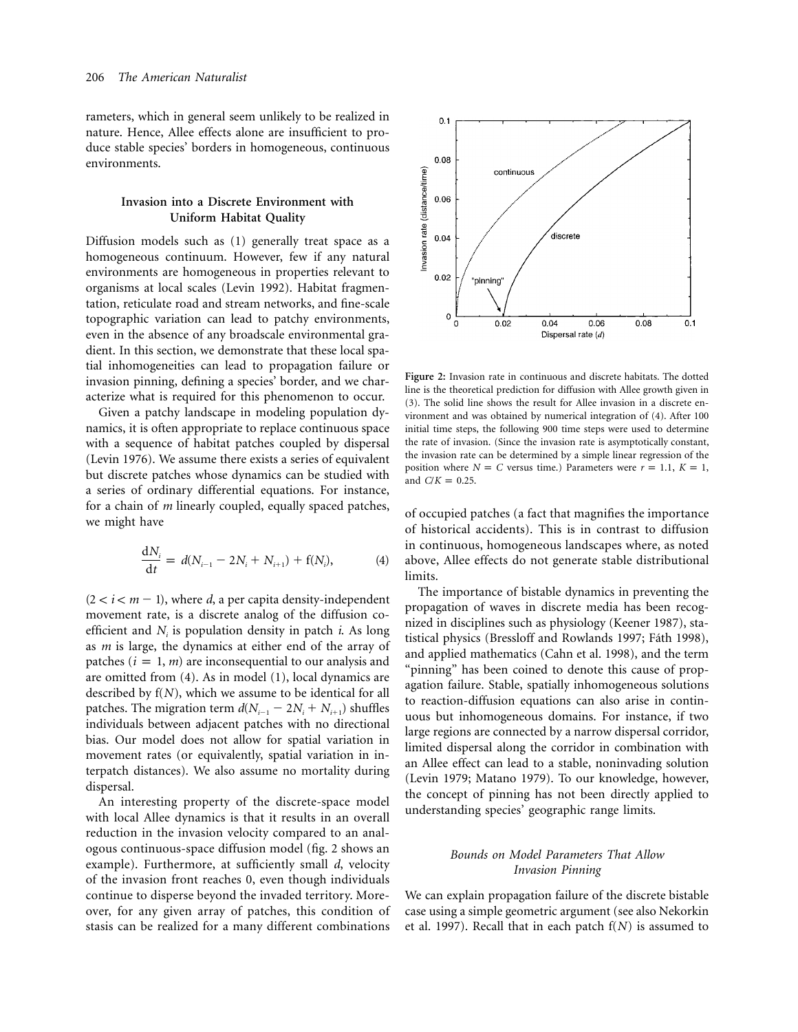rameters, which in general seem unlikely to be realized in nature. Hence, Allee effects alone are insufficient to produce stable species' borders in homogeneous, continuous environments.

# **Invasion into a Discrete Environment with Uniform Habitat Quality**

Diffusion models such as (1) generally treat space as a homogeneous continuum. However, few if any natural environments are homogeneous in properties relevant to organisms at local scales (Levin 1992). Habitat fragmentation, reticulate road and stream networks, and fine-scale topographic variation can lead to patchy environments, even in the absence of any broadscale environmental gradient. In this section, we demonstrate that these local spatial inhomogeneities can lead to propagation failure or invasion pinning, defining a species' border, and we characterize what is required for this phenomenon to occur.

Given a patchy landscape in modeling population dynamics, it is often appropriate to replace continuous space with a sequence of habitat patches coupled by dispersal (Levin 1976). We assume there exists a series of equivalent but discrete patches whose dynamics can be studied with a series of ordinary differential equations. For instance, for a chain of *m* linearly coupled, equally spaced patches, we might have

$$
\frac{dN_i}{dt} = d(N_{i-1} - 2N_i + N_{i+1}) + f(N_i),
$$
\n(4)

 $(2 < i < m - 1)$ , where *d*, a per capita density-independent movement rate, is a discrete analog of the diffusion coefficient and  $N_i$  is population density in patch  $i$ . As long as *m* is large, the dynamics at either end of the array of patches  $(i = 1, m)$  are inconsequential to our analysis and are omitted from (4). As in model (1), local dynamics are described by f(*N*), which we assume to be identical for all patches. The migration term  $d(N_{i-1} - 2N_i + N_{i+1})$  shuffles individuals between adjacent patches with no directional bias. Our model does not allow for spatial variation in movement rates (or equivalently, spatial variation in interpatch distances). We also assume no mortality during dispersal.

An interesting property of the discrete-space model with local Allee dynamics is that it results in an overall reduction in the invasion velocity compared to an analogous continuous-space diffusion model (fig. 2 shows an example). Furthermore, at sufficiently small *d*, velocity of the invasion front reaches 0, even though individuals continue to disperse beyond the invaded territory. Moreover, for any given array of patches, this condition of stasis can be realized for a many different combinations



**Figure 2:** Invasion rate in continuous and discrete habitats. The dotted line is the theoretical prediction for diffusion with Allee growth given in (3). The solid line shows the result for Allee invasion in a discrete environment and was obtained by numerical integration of (4). After 100 initial time steps, the following 900 time steps were used to determine the rate of invasion. (Since the invasion rate is asymptotically constant, the invasion rate can be determined by a simple linear regression of the position where  $N = C$  versus time.) Parameters were  $r = 1.1$ ,  $K = 1$ , and  $C/K = 0.25$ .

of occupied patches (a fact that magnifies the importance of historical accidents). This is in contrast to diffusion in continuous, homogeneous landscapes where, as noted above, Allee effects do not generate stable distributional limits.

The importance of bistable dynamics in preventing the propagation of waves in discrete media has been recognized in disciplines such as physiology (Keener 1987), statistical physics (Bressloff and Rowlands 1997; Fáth 1998), and applied mathematics (Cahn et al. 1998), and the term "pinning" has been coined to denote this cause of propagation failure. Stable, spatially inhomogeneous solutions to reaction-diffusion equations can also arise in continuous but inhomogeneous domains. For instance, if two large regions are connected by a narrow dispersal corridor, limited dispersal along the corridor in combination with an Allee effect can lead to a stable, noninvading solution (Levin 1979; Matano 1979). To our knowledge, however, the concept of pinning has not been directly applied to understanding species' geographic range limits.

## *Bounds on Model Parameters That Allow Invasion Pinning*

We can explain propagation failure of the discrete bistable case using a simple geometric argument (see also Nekorkin et al. 1997). Recall that in each patch f(*N*) is assumed to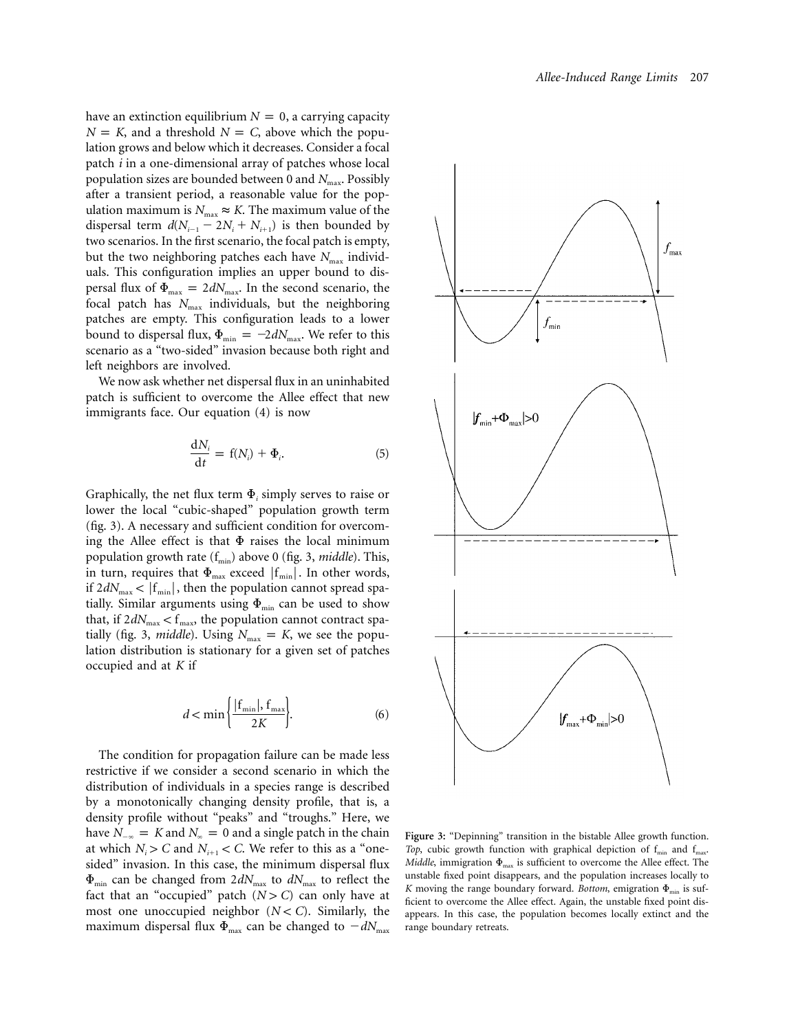have an extinction equilibrium  $N = 0$ , a carrying capacity  $N = K$ , and a threshold  $N = C$ , above which the population grows and below which it decreases. Consider a focal patch *i* in a one-dimensional array of patches whose local population sizes are bounded between 0 and  $N_{\text{max}}$ . Possibly after a transient period, a reasonable value for the population maximum is  $N_{\text{max}} \approx K$ . The maximum value of the dispersal term  $d(N_{i-1} - 2N_i + N_{i+1})$  is then bounded by two scenarios. In the first scenario, the focal patch is empty, but the two neighboring patches each have  $N_{\text{max}}$  individuals. This configuration implies an upper bound to dispersal flux of  $\Phi_{\text{max}} = 2dN_{\text{max}}$ . In the second scenario, the focal patch has  $N_{\text{max}}$  individuals, but the neighboring patches are empty. This configuration leads to a lower bound to dispersal flux,  $\Phi_{\min} = -2dN_{\max}$ . We refer to this scenario as a "two-sided" invasion because both right and left neighbors are involved.

We now ask whether net dispersal flux in an uninhabited patch is sufficient to overcome the Allee effect that new immigrants face. Our equation (4) is now

$$
\frac{\mathrm{d}N_i}{\mathrm{d}t} = \mathrm{f}(N_i) + \Phi_i. \tag{5}
$$

Graphically, the net flux term  $\Phi$ <sub>*i*</sub> simply serves to raise or lower the local "cubic-shaped" population growth term (fig. 3). A necessary and sufficient condition for overcoming the Allee effect is that  $\Phi$  raises the local minimum population growth rate (f<sub>min</sub>) above 0 (fig. 3, *middle*). This, in turn, requires that  $\Phi_{\text{max}}$  exceed  $|f_{\text{min}}|$ . In other words, if  $2dN_{\text{max}} < |f_{\text{min}}|$ , then the population cannot spread spatially. Similar arguments using  $\Phi_{\min}$  can be used to show that, if  $2dN_{\text{max}} < f_{\text{max}}$ , the population cannot contract spatially (fig. 3, *middle*). Using  $N_{\text{max}} = K$ , we see the population distribution is stationary for a given set of patches occupied and at *K* if

$$
d < \min\left\{\frac{|f_{\min}|, f_{\max}}{2K}\right\}.\tag{6}
$$

The condition for propagation failure can be made less restrictive if we consider a second scenario in which the distribution of individuals in a species range is described by a monotonically changing density profile, that is, a density profile without "peaks" and "troughs." Here, we have  $N_{-\infty} = K$  and  $N_{\infty} = 0$  and a single patch in the chain at which  $N_i > C$  and  $N_{i+1} < C$ . We refer to this as a "onesided" invasion. In this case, the minimum dispersal flux  $\Phi_{\min}$  can be changed from  $2dN_{\max}$  to  $dN_{\max}$  to reflect the fact that an "occupied" patch  $(N > C)$  can only have at most one unoccupied neighbor  $(N < C)$ . Similarly, the maximum dispersal flux  $\Phi_{\text{max}}$  can be changed to  $-dN_{\text{max}}$ 

![](_page_4_Figure_7.jpeg)

**Figure 3:** "Depinning" transition in the bistable Allee growth function. *Top*, cubic growth function with graphical depiction of  $f_{min}$  and  $f_{max}$ . *Middle*, immigration  $\Phi_{\text{max}}$  is sufficient to overcome the Allee effect. The unstable fixed point disappears, and the population increases locally to *K* moving the range boundary forward. *Bottom*, emigration  $\Phi_{\min}$  is sufficient to overcome the Allee effect. Again, the unstable fixed point disappears. In this case, the population becomes locally extinct and the range boundary retreats.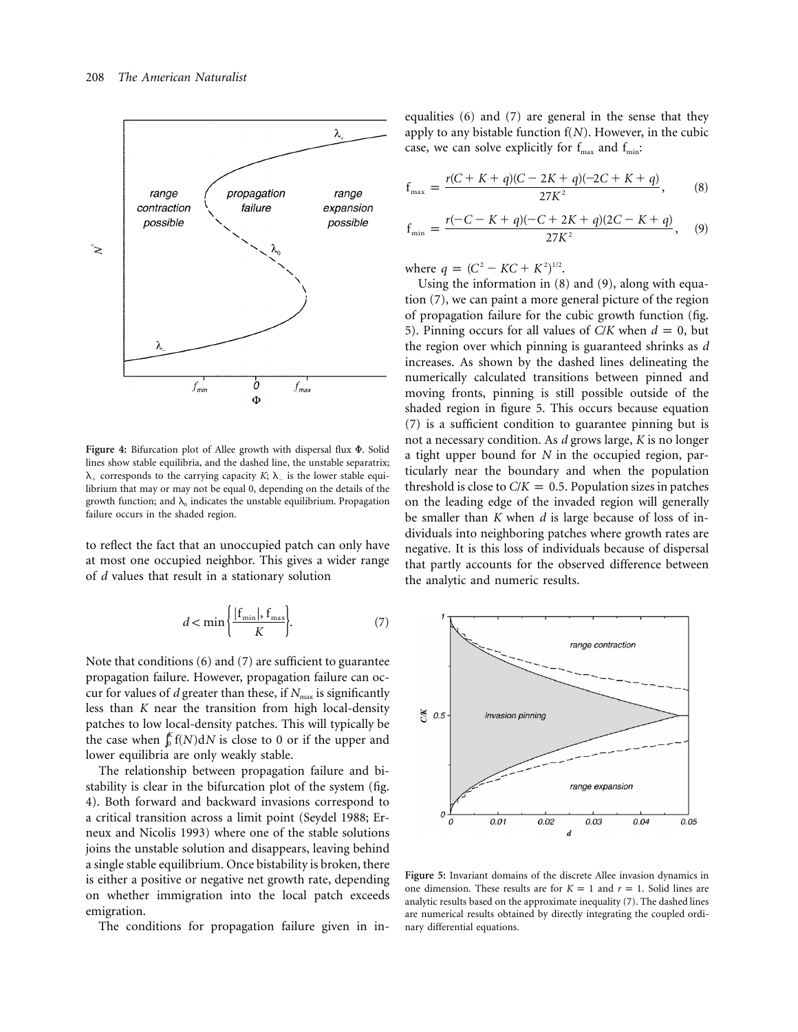![](_page_5_Figure_1.jpeg)

Figure 4: Bifurcation plot of Allee growth with dispersal flux  $\Phi$ . Solid lines show stable equilibria, and the dashed line, the unstable separatrix;  $\lambda_{\perp}$  corresponds to the carrying capacity *K*;  $\lambda_{\perp}$  is the lower stable equilibrium that may or may not be equal 0, depending on the details of the growth function; and  $\lambda_0$  indicates the unstable equilibrium. Propagation failure occurs in the shaded region.

to reflect the fact that an unoccupied patch can only have at most one occupied neighbor. This gives a wider range of *d* values that result in a stationary solution

$$
d < \min\left\{\frac{|f_{\min}|, f_{\max}}{K}\right\}.\tag{7}
$$

Note that conditions (6) and (7) are sufficient to guarantee propagation failure. However, propagation failure can occur for values of  $d$  greater than these, if  $N_{\text{max}}$  is significantly less than *K* near the transition from high local-density patches to low local-density patches. This will typically be the case when  $\int_0^K f(N) dN$  is close to 0 or if the upper and lower equilibria are only weakly stable.

The relationship between propagation failure and bistability is clear in the bifurcation plot of the system (fig. 4). Both forward and backward invasions correspond to a critical transition across a limit point (Seydel 1988; Erneux and Nicolis 1993) where one of the stable solutions joins the unstable solution and disappears, leaving behind a single stable equilibrium. Once bistability is broken, there is either a positive or negative net growth rate, depending on whether immigration into the local patch exceeds emigration.

The conditions for propagation failure given in in-

equalities (6) and (7) are general in the sense that they apply to any bistable function f(*N*). However, in the cubic case, we can solve explicitly for  $f_{\text{max}}$  and  $f_{\text{min}}$ :

$$
f_{\max} = \frac{r(C+K+q)(C-2K+q)(-2C+K+q)}{27K^2},
$$
 (8)

$$
f_{\min} = \frac{r(-C - K + q)(-C + 2K + q)(2C - K + q)}{27K^2},
$$
 (9)

where  $q = (C^2 - KC + K^2)^{1/2}$ .

Using the information in (8) and (9), along with equation (7), we can paint a more general picture of the region of propagation failure for the cubic growth function (fig. 5). Pinning occurs for all values of  $C/K$  when  $d = 0$ , but the region over which pinning is guaranteed shrinks as *d* increases. As shown by the dashed lines delineating the numerically calculated transitions between pinned and moving fronts, pinning is still possible outside of the shaded region in figure 5. This occurs because equation (7) is a sufficient condition to guarantee pinning but is not a necessary condition. As *d* grows large, *K* is no longer a tight upper bound for *N* in the occupied region, particularly near the boundary and when the population threshold is close to  $C/K = 0.5$ . Population sizes in patches on the leading edge of the invaded region will generally be smaller than *K* when *d* is large because of loss of individuals into neighboring patches where growth rates are negative. It is this loss of individuals because of dispersal that partly accounts for the observed difference between the analytic and numeric results.

![](_page_5_Figure_13.jpeg)

**Figure 5:** Invariant domains of the discrete Allee invasion dynamics in one dimension. These results are for  $K = 1$  and  $r = 1$ . Solid lines are analytic results based on the approximate inequality (7). The dashed lines are numerical results obtained by directly integrating the coupled ordinary differential equations.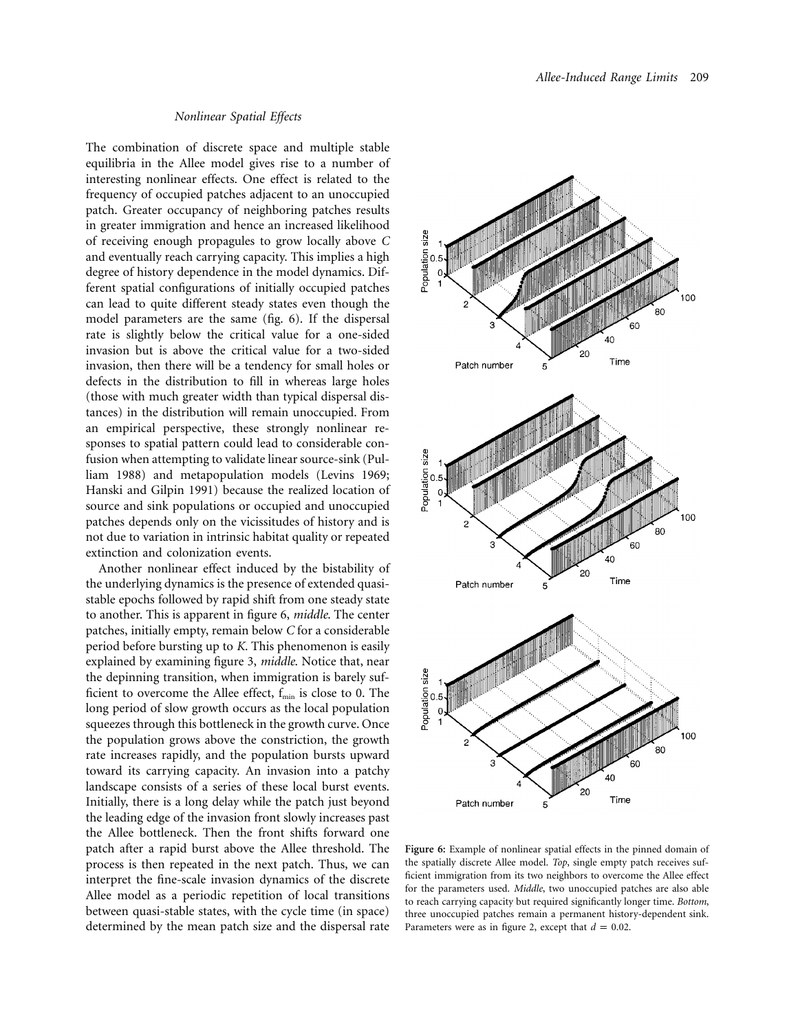The combination of discrete space and multiple stable equilibria in the Allee model gives rise to a number of interesting nonlinear effects. One effect is related to the frequency of occupied patches adjacent to an unoccupied patch. Greater occupancy of neighboring patches results in greater immigration and hence an increased likelihood of receiving enough propagules to grow locally above *C* and eventually reach carrying capacity. This implies a high degree of history dependence in the model dynamics. Different spatial configurations of initially occupied patches can lead to quite different steady states even though the model parameters are the same (fig. 6). If the dispersal rate is slightly below the critical value for a one-sided invasion but is above the critical value for a two-sided invasion, then there will be a tendency for small holes or defects in the distribution to fill in whereas large holes (those with much greater width than typical dispersal distances) in the distribution will remain unoccupied. From an empirical perspective, these strongly nonlinear responses to spatial pattern could lead to considerable confusion when attempting to validate linear source-sink (Pulliam 1988) and metapopulation models (Levins 1969; Hanski and Gilpin 1991) because the realized location of source and sink populations or occupied and unoccupied patches depends only on the vicissitudes of history and is not due to variation in intrinsic habitat quality or repeated extinction and colonization events.

Another nonlinear effect induced by the bistability of the underlying dynamics is the presence of extended quasistable epochs followed by rapid shift from one steady state to another. This is apparent in figure 6, *middle*. The center patches, initially empty, remain below *C* for a considerable period before bursting up to *K*. This phenomenon is easily explained by examining figure 3, *middle*. Notice that, near the depinning transition, when immigration is barely sufficient to overcome the Allee effect,  $f_{\min}$  is close to 0. The long period of slow growth occurs as the local population squeezes through this bottleneck in the growth curve. Once the population grows above the constriction, the growth rate increases rapidly, and the population bursts upward toward its carrying capacity. An invasion into a patchy landscape consists of a series of these local burst events. Initially, there is a long delay while the patch just beyond the leading edge of the invasion front slowly increases past the Allee bottleneck. Then the front shifts forward one patch after a rapid burst above the Allee threshold. The process is then repeated in the next patch. Thus, we can interpret the fine-scale invasion dynamics of the discrete Allee model as a periodic repetition of local transitions between quasi-stable states, with the cycle time (in space) determined by the mean patch size and the dispersal rate

![](_page_6_Figure_4.jpeg)

**Figure 6:** Example of nonlinear spatial effects in the pinned domain of the spatially discrete Allee model. *Top*, single empty patch receives sufficient immigration from its two neighbors to overcome the Allee effect for the parameters used. *Middle*, two unoccupied patches are also able to reach carrying capacity but required significantly longer time. *Bottom*, three unoccupied patches remain a permanent history-dependent sink. Parameters were as in figure 2, except that  $d = 0.02$ .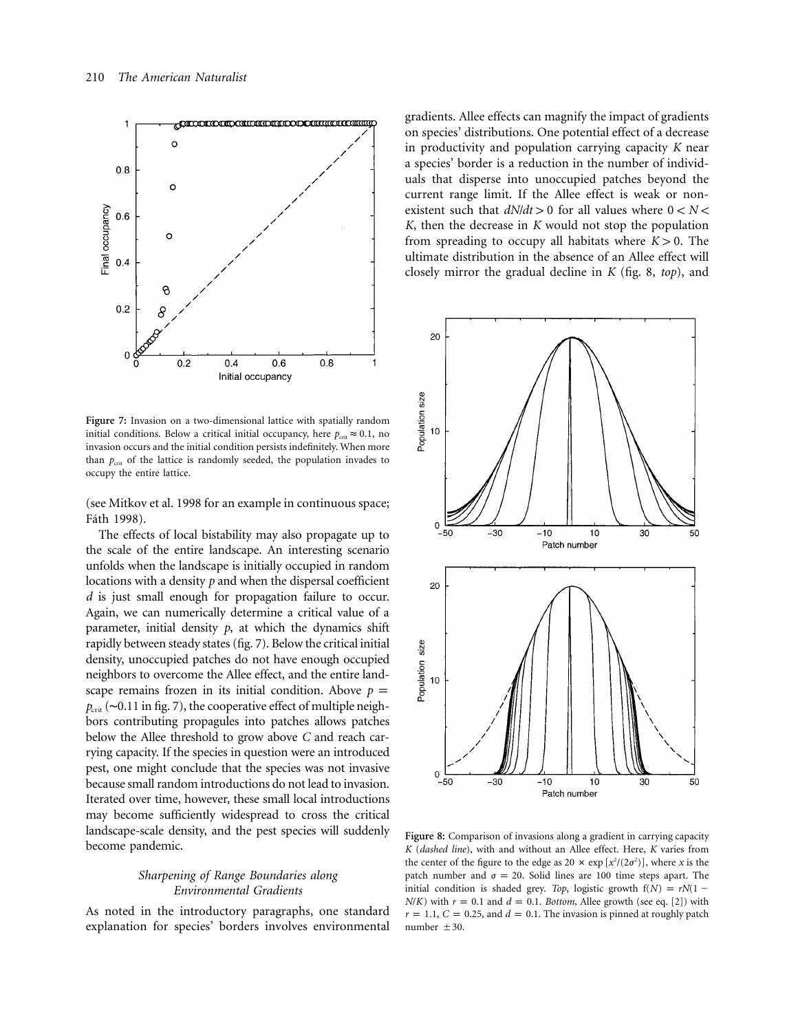![](_page_7_Figure_1.jpeg)

**Figure 7:** Invasion on a two-dimensional lattice with spatially random initial conditions. Below a critical initial occupancy, here  $p_{\text{crit}} \approx 0.1$ , no invasion occurs and the initial condition persists indefinitely. When more than  $p_{\text{crit}}$  of the lattice is randomly seeded, the population invades to occupy the entire lattice.

(see Mitkov et al. 1998 for an example in continuous space; Fáth 1998).

The effects of local bistability may also propagate up to the scale of the entire landscape. An interesting scenario unfolds when the landscape is initially occupied in random locations with a density *p* and when the dispersal coefficient *d* is just small enough for propagation failure to occur. Again, we can numerically determine a critical value of a parameter, initial density *p*, at which the dynamics shift rapidly between steady states (fig. 7). Below the critical initial density, unoccupied patches do not have enough occupied neighbors to overcome the Allee effect, and the entire landscape remains frozen in its initial condition. Above  $p =$ *p*<sub>crit</sub> (∼0.11 in fig. 7), the cooperative effect of multiple neighbors contributing propagules into patches allows patches below the Allee threshold to grow above *C* and reach carrying capacity. If the species in question were an introduced pest, one might conclude that the species was not invasive because small random introductions do not lead to invasion. Iterated over time, however, these small local introductions may become sufficiently widespread to cross the critical landscape-scale density, and the pest species will suddenly become pandemic.

# *Sharpening of Range Boundaries along Environmental Gradients*

As noted in the introductory paragraphs, one standard explanation for species' borders involves environmental gradients. Allee effects can magnify the impact of gradients on species' distributions. One potential effect of a decrease in productivity and population carrying capacity *K* near a species' border is a reduction in the number of individuals that disperse into unoccupied patches beyond the current range limit. If the Allee effect is weak or nonexistent such that  $dN/dt > 0$  for all values where  $0 < N <$ *K*, then the decrease in *K* would not stop the population from spreading to occupy all habitats where  $K > 0$ . The ultimate distribution in the absence of an Allee effect will closely mirror the gradual decline in *K* (fig. 8, *top*), and

![](_page_7_Figure_8.jpeg)

**Figure 8:** Comparison of invasions along a gradient in carrying capacity *K* (*dashed line*), with and without an Allee effect. Here, *K* varies from the center of the figure to the edge as  $20 \times \exp\left[\frac{x^2}{2\sigma^2}\right]$ , where *x* is the patch number and  $\sigma = 20$ . Solid lines are 100 time steps apart. The initial condition is shaded grey. *Top*, logistic growth  $f(N) = rN(1 N/K$ ) with  $r = 0.1$  and  $d = 0.1$ . *Bottom*, Allee growth (see eq. [2]) with  $r = 1.1, C = 0.25,$  and  $d = 0.1$ . The invasion is pinned at roughly patch number  $\pm 30$ .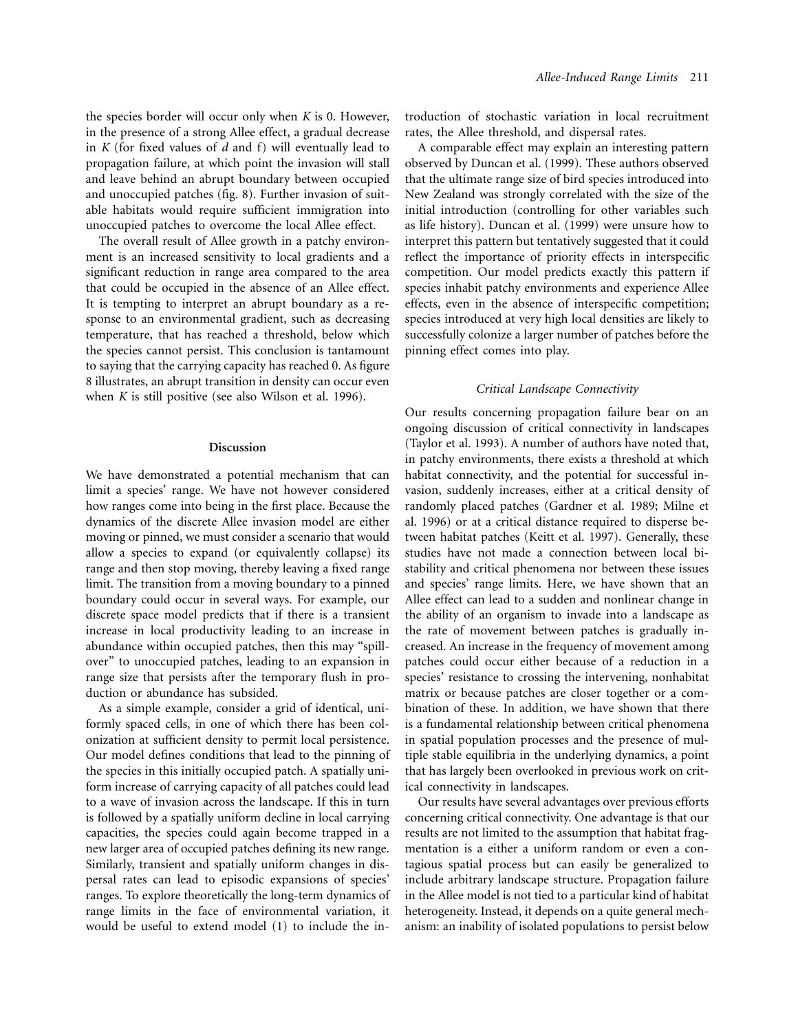the species border will occur only when *K* is 0. However, in the presence of a strong Allee effect, a gradual decrease in *K* (for fixed values of *d* and f) will eventually lead to propagation failure, at which point the invasion will stall and leave behind an abrupt boundary between occupied and unoccupied patches (fig. 8). Further invasion of suitable habitats would require sufficient immigration into unoccupied patches to overcome the local Allee effect.

The overall result of Allee growth in a patchy environment is an increased sensitivity to local gradients and a significant reduction in range area compared to the area that could be occupied in the absence of an Allee effect. It is tempting to interpret an abrupt boundary as a response to an environmental gradient, such as decreasing temperature, that has reached a threshold, below which the species cannot persist. This conclusion is tantamount to saying that the carrying capacity has reached 0. As figure 8 illustrates, an abrupt transition in density can occur even when *K* is still positive (see also Wilson et al. 1996).

#### **Discussion**

We have demonstrated a potential mechanism that can limit a species' range. We have not however considered how ranges come into being in the first place. Because the dynamics of the discrete Allee invasion model are either moving or pinned, we must consider a scenario that would allow a species to expand (or equivalently collapse) its range and then stop moving, thereby leaving a fixed range limit. The transition from a moving boundary to a pinned boundary could occur in several ways. For example, our discrete space model predicts that if there is a transient increase in local productivity leading to an increase in abundance within occupied patches, then this may "spillover" to unoccupied patches, leading to an expansion in range size that persists after the temporary flush in production or abundance has subsided.

As a simple example, consider a grid of identical, uniformly spaced cells, in one of which there has been colonization at sufficient density to permit local persistence. Our model defines conditions that lead to the pinning of the species in this initially occupied patch. A spatially uniform increase of carrying capacity of all patches could lead to a wave of invasion across the landscape. If this in turn is followed by a spatially uniform decline in local carrying capacities, the species could again become trapped in a new larger area of occupied patches defining its new range. Similarly, transient and spatially uniform changes in dispersal rates can lead to episodic expansions of species' ranges. To explore theoretically the long-term dynamics of range limits in the face of environmental variation, it would be useful to extend model (1) to include the introduction of stochastic variation in local recruitment rates, the Allee threshold, and dispersal rates.

A comparable effect may explain an interesting pattern observed by Duncan et al. (1999). These authors observed that the ultimate range size of bird species introduced into New Zealand was strongly correlated with the size of the initial introduction (controlling for other variables such as life history). Duncan et al. (1999) were unsure how to interpret this pattern but tentatively suggested that it could reflect the importance of priority effects in interspecific competition. Our model predicts exactly this pattern if species inhabit patchy environments and experience Allee effects, even in the absence of interspecific competition; species introduced at very high local densities are likely to successfully colonize a larger number of patches before the pinning effect comes into play.

## *Critical Landscape Connectivity*

Our results concerning propagation failure bear on an ongoing discussion of critical connectivity in landscapes (Taylor et al. 1993). A number of authors have noted that, in patchy environments, there exists a threshold at which habitat connectivity, and the potential for successful invasion, suddenly increases, either at a critical density of randomly placed patches (Gardner et al. 1989; Milne et al. 1996) or at a critical distance required to disperse between habitat patches (Keitt et al. 1997). Generally, these studies have not made a connection between local bistability and critical phenomena nor between these issues and species' range limits. Here, we have shown that an Allee effect can lead to a sudden and nonlinear change in the ability of an organism to invade into a landscape as the rate of movement between patches is gradually increased. An increase in the frequency of movement among patches could occur either because of a reduction in a species' resistance to crossing the intervening, nonhabitat matrix or because patches are closer together or a combination of these. In addition, we have shown that there is a fundamental relationship between critical phenomena in spatial population processes and the presence of multiple stable equilibria in the underlying dynamics, a point that has largely been overlooked in previous work on critical connectivity in landscapes.

Our results have several advantages over previous efforts concerning critical connectivity. One advantage is that our results are not limited to the assumption that habitat fragmentation is a either a uniform random or even a contagious spatial process but can easily be generalized to include arbitrary landscape structure. Propagation failure in the Allee model is not tied to a particular kind of habitat heterogeneity. Instead, it depends on a quite general mechanism: an inability of isolated populations to persist below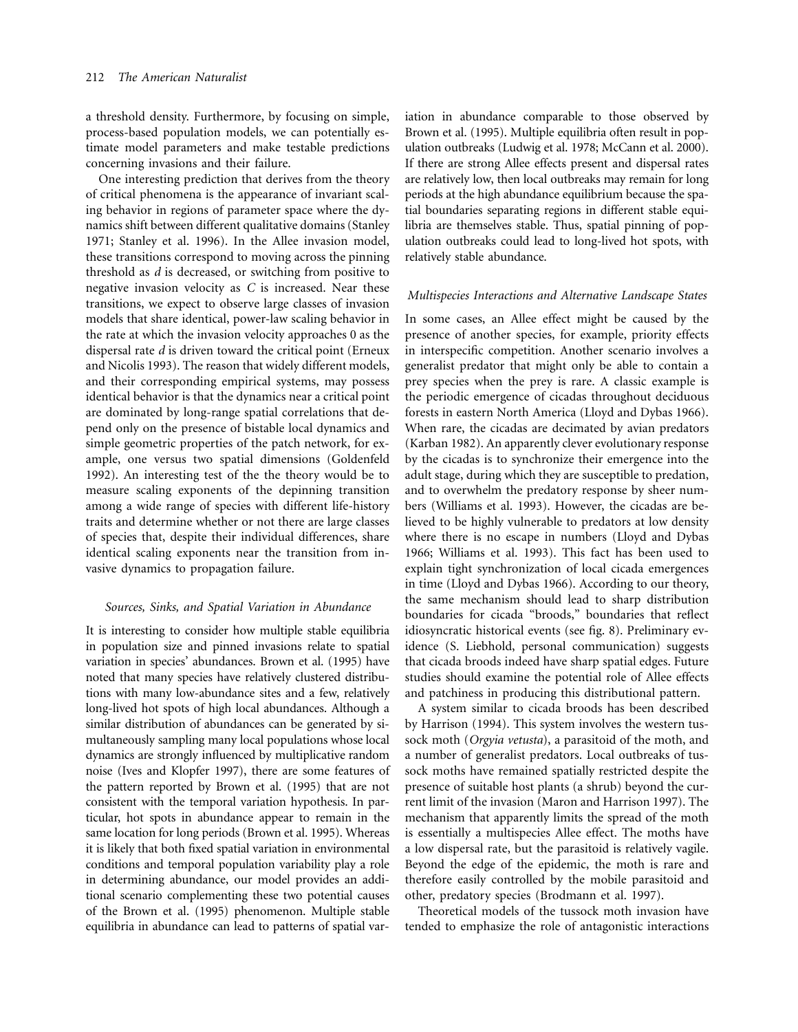a threshold density. Furthermore, by focusing on simple, process-based population models, we can potentially estimate model parameters and make testable predictions concerning invasions and their failure.

One interesting prediction that derives from the theory of critical phenomena is the appearance of invariant scaling behavior in regions of parameter space where the dynamics shift between different qualitative domains (Stanley 1971; Stanley et al. 1996). In the Allee invasion model, these transitions correspond to moving across the pinning threshold as *d* is decreased, or switching from positive to negative invasion velocity as *C* is increased. Near these transitions, we expect to observe large classes of invasion models that share identical, power-law scaling behavior in the rate at which the invasion velocity approaches 0 as the dispersal rate *d* is driven toward the critical point (Erneux and Nicolis 1993). The reason that widely different models, and their corresponding empirical systems, may possess identical behavior is that the dynamics near a critical point are dominated by long-range spatial correlations that depend only on the presence of bistable local dynamics and simple geometric properties of the patch network, for example, one versus two spatial dimensions (Goldenfeld 1992). An interesting test of the the theory would be to measure scaling exponents of the depinning transition among a wide range of species with different life-history traits and determine whether or not there are large classes of species that, despite their individual differences, share identical scaling exponents near the transition from invasive dynamics to propagation failure.

## *Sources, Sinks, and Spatial Variation in Abundance*

It is interesting to consider how multiple stable equilibria in population size and pinned invasions relate to spatial variation in species' abundances. Brown et al. (1995) have noted that many species have relatively clustered distributions with many low-abundance sites and a few, relatively long-lived hot spots of high local abundances. Although a similar distribution of abundances can be generated by simultaneously sampling many local populations whose local dynamics are strongly influenced by multiplicative random noise (Ives and Klopfer 1997), there are some features of the pattern reported by Brown et al. (1995) that are not consistent with the temporal variation hypothesis. In particular, hot spots in abundance appear to remain in the same location for long periods (Brown et al. 1995). Whereas it is likely that both fixed spatial variation in environmental conditions and temporal population variability play a role in determining abundance, our model provides an additional scenario complementing these two potential causes of the Brown et al. (1995) phenomenon. Multiple stable equilibria in abundance can lead to patterns of spatial variation in abundance comparable to those observed by Brown et al. (1995). Multiple equilibria often result in population outbreaks (Ludwig et al. 1978; McCann et al. 2000). If there are strong Allee effects present and dispersal rates are relatively low, then local outbreaks may remain for long periods at the high abundance equilibrium because the spatial boundaries separating regions in different stable equilibria are themselves stable. Thus, spatial pinning of population outbreaks could lead to long-lived hot spots, with relatively stable abundance.

#### *Multispecies Interactions and Alternative Landscape States*

In some cases, an Allee effect might be caused by the presence of another species, for example, priority effects in interspecific competition. Another scenario involves a generalist predator that might only be able to contain a prey species when the prey is rare. A classic example is the periodic emergence of cicadas throughout deciduous forests in eastern North America (Lloyd and Dybas 1966). When rare, the cicadas are decimated by avian predators (Karban 1982). An apparently clever evolutionary response by the cicadas is to synchronize their emergence into the adult stage, during which they are susceptible to predation, and to overwhelm the predatory response by sheer numbers (Williams et al. 1993). However, the cicadas are believed to be highly vulnerable to predators at low density where there is no escape in numbers (Lloyd and Dybas 1966; Williams et al. 1993). This fact has been used to explain tight synchronization of local cicada emergences in time (Lloyd and Dybas 1966). According to our theory, the same mechanism should lead to sharp distribution boundaries for cicada "broods," boundaries that reflect idiosyncratic historical events (see fig. 8). Preliminary evidence (S. Liebhold, personal communication) suggests that cicada broods indeed have sharp spatial edges. Future studies should examine the potential role of Allee effects and patchiness in producing this distributional pattern.

A system similar to cicada broods has been described by Harrison (1994). This system involves the western tussock moth (*Orgyia vetusta*), a parasitoid of the moth, and a number of generalist predators. Local outbreaks of tussock moths have remained spatially restricted despite the presence of suitable host plants (a shrub) beyond the current limit of the invasion (Maron and Harrison 1997). The mechanism that apparently limits the spread of the moth is essentially a multispecies Allee effect. The moths have a low dispersal rate, but the parasitoid is relatively vagile. Beyond the edge of the epidemic, the moth is rare and therefore easily controlled by the mobile parasitoid and other, predatory species (Brodmann et al. 1997).

Theoretical models of the tussock moth invasion have tended to emphasize the role of antagonistic interactions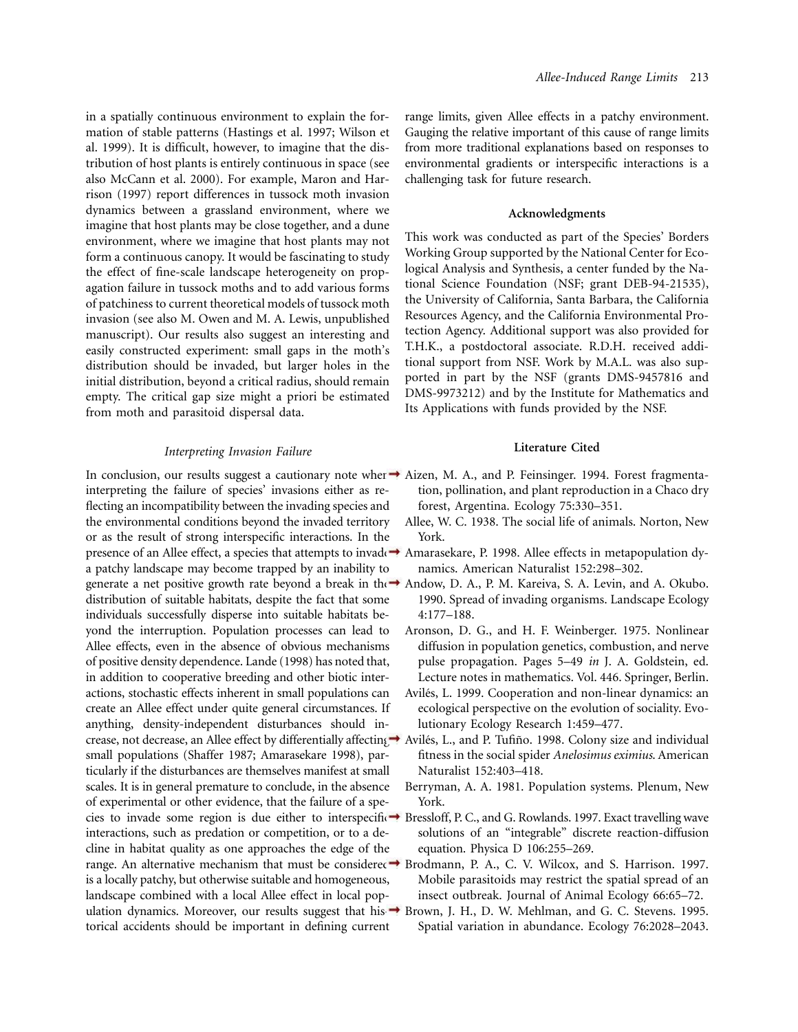in a spatially continuous environment to explain the formation of stable patterns (Hastings et al. 1997; Wilson et al. 1999). It is difficult, however, to imagine that the distribution of host plants is entirely continuous in space (see also McCann et al. 2000). For example, Maron and Harrison (1997) report differences in tussock moth invasion dynamics between a grassland environment, where we imagine that host plants may be close together, and a dune environment, where we imagine that host plants may not form a continuous canopy. It would be fascinating to study the effect of fine-scale landscape heterogeneity on propagation failure in tussock moths and to add various forms of patchiness to current theoretical models of tussock moth invasion (see also M. Owen and M. A. Lewis, unpublished manuscript). Our results also suggest an interesting and easily constructed experiment: small gaps in the moth's distribution should be invaded, but larger holes in the initial distribution, beyond a critical radius, should remain empty. The critical gap size might a priori be estimated from moth and parasitoid dispersal data.

## *Interpreting Invasion Failure*

interpreting the failure of species' invasions either as reflecting an incompatibility between the invading species and the environmental conditions beyond the invaded territory or as the result of strong interspecific interactions. In the presence of an Allee effect, a species that attempts to invade→ Amarasekare, P. 1998. Allee effects in metapopulation dya patchy landscape may become trapped by an inability to generate a net positive growth rate beyond a break in the Andow, D. A., P. M. Kareiva, S. A. Levin, and A. Okubo. distribution of suitable habitats, despite the fact that some individuals successfully disperse into suitable habitats beyond the interruption. Population processes can lead to Allee effects, even in the absence of obvious mechanisms of positive density dependence. Lande (1998) has noted that, in addition to cooperative breeding and other biotic interactions, stochastic effects inherent in small populations can create an Allee effect under quite general circumstances. If anything, density-independent disturbances should increase, not decrease, an Allee effect by differentially affecting→ Avilés, L., and P. Tufiño. 1998. Colony size and individual small populations (Shaffer 1987; Amarasekare 1998), particularly if the disturbances are themselves manifest at small scales. It is in general premature to conclude, in the absence of experimental or other evidence, that the failure of a species to invade some region is due either to interspecific Bressloff, P. C., and G. Rowlands. 1997. Exact travelling wave interactions, such as predation or competition, or to a decline in habitat quality as one approaches the edge of the range. An alternative mechanism that must be considered  $\rightarrow$ is a locally patchy, but otherwise suitable and homogeneous, landscape combined with a local Allee effect in local population dynamics. Moreover, our results suggest that his  $\rightarrow$  Brown, J. H., D. W. Mehlman, and G. C. Stevens. 1995. torical accidents should be important in defining current

range limits, given Allee effects in a patchy environment. Gauging the relative important of this cause of range limits from more traditional explanations based on responses to environmental gradients or interspecific interactions is a challenging task for future research.

## **Acknowledgments**

This work was conducted as part of the Species' Borders Working Group supported by the National Center for Ecological Analysis and Synthesis, a center funded by the National Science Foundation (NSF; grant DEB-94-21535), the University of California, Santa Barbara, the California Resources Agency, and the California Environmental Protection Agency. Additional support was also provided for T.H.K., a postdoctoral associate. R.D.H. received additional support from NSF. Work by M.A.L. was also supported in part by the NSF (grants DMS-9457816 and DMS-9973212) and by the Institute for Mathematics and Its Applications with funds provided by the NSF.

### **Literature Cited**

- In conclusion, our results suggest a cautionary note when  $\rightarrow$  Aizen, M. A., and P. Feinsinger. 1994. Forest fragmentation, pollination, and plant reproduction in a Chaco dry forest, Argentina. Ecology 75:330–351.
	- Allee, W. C. 1938. The social life of animals. Norton, New York.
	- namics. American Naturalist 152:298–302.
	- 1990. Spread of invading organisms. Landscape Ecology 4:177–188.
	- Aronson, D. G., and H. F. Weinberger. 1975. Nonlinear diffusion in population genetics, combustion, and nerve pulse propagation. Pages 5–49 *in* J. A. Goldstein, ed. Lecture notes in mathematics. Vol. 446. Springer, Berlin.
	- Avilés, L. 1999. Cooperation and non-linear dynamics: an ecological perspective on the evolution of sociality. Evolutionary Ecology Research 1:459–477.
	- fitness in the social spider *Anelosimus eximius*. American Naturalist 152:403–418.
	- Berryman, A. A. 1981. Population systems. Plenum, New York.
	- solutions of an "integrable" discrete reaction-diffusion equation. Physica D 106:255–269.
	- Brodmann, P. A., C. V. Wilcox, and S. Harrison. 1997. Mobile parasitoids may restrict the spatial spread of an insect outbreak. Journal of Animal Ecology 66:65–72.
	- Spatial variation in abundance. Ecology 76:2028–2043.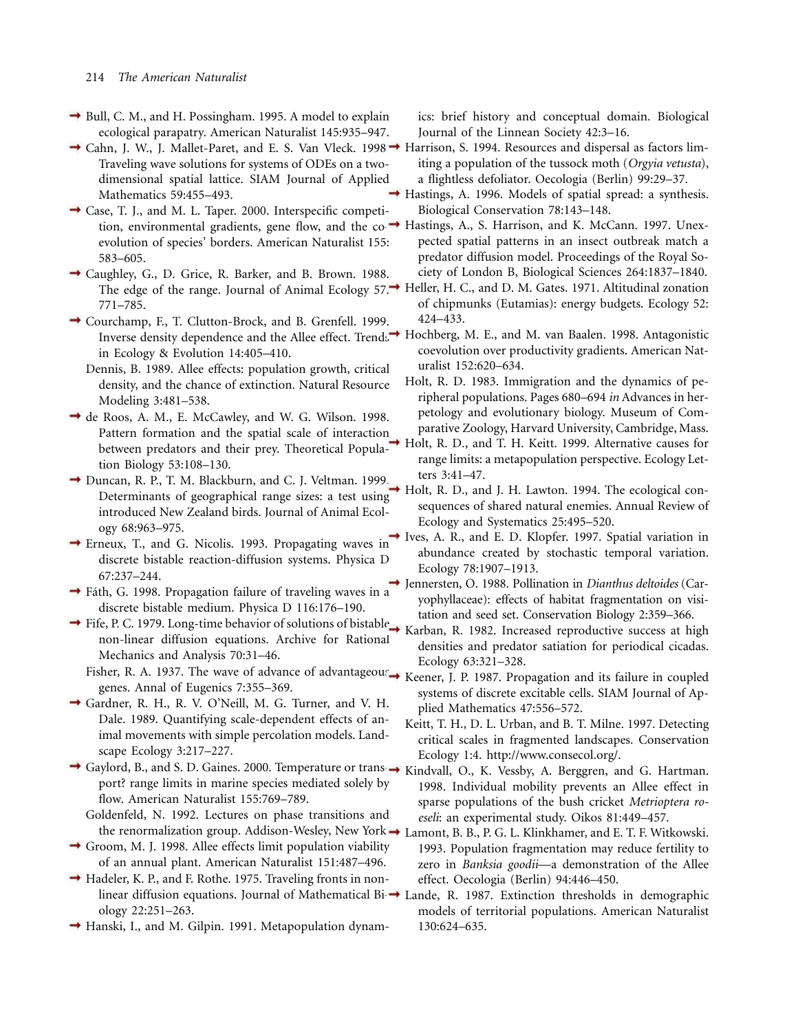- $\rightarrow$  Bull, C. M., and H. Possingham. 1995. A model to explain ecological parapatry. American Naturalist 145:935–947.
- Cahn, J. W., J. Mallet-Paret, and E. S. Van Vleck. 1998. Harrison, S. 1994. Resources and dispersal as factors lim-Traveling wave solutions for systems of ODEs on a twodimensional spatial lattice. SIAM Journal of Applied Mathematics 59:455–493.
- Case, T. J., and M. L. Taper. 2000. Interspecific competievolution of species' borders. American Naturalist 155: 583–605.
- Caughley, G., D. Grice, R. Barker, and B. Brown. 1988. 771–785.
- Courchamp, F., T. Clutton-Brock, and B. Grenfell. 1999. in Ecology & Evolution 14:405–410.
	- Dennis, B. 1989. Allee effects: population growth, critical density, and the chance of extinction. Natural Resource Modeling 3:481–538.
- de Roos, A. M., E. McCawley, and W. G. Wilson. 1998. Pattern formation and the spatial scale of interaction tion Biology 53:108–130.
- → Duncan, R. P., T. M. Blackburn, and C. J. Veltman. 1999. Determinants of geographical range sizes: a test using introduced New Zealand birds. Journal of Animal Ecology 68:963–975.
- Erneux, T., and G. Nicolis. 1993. Propagating waves in discrete bistable reaction-diffusion systems. Physica D 67:237–244.
- $\rightarrow$  Fáth, G. 1998. Propagation failure of traveling waves in a discrete bistable medium. Physica D 116:176–190.
- Fife, P. C. 1979. Long-time behavior of solutions of bistable Karban, R. 1982. Increased reproductive success at high non-linear diffusion equations. Archive for Rational Mechanics and Analysis 70:31–46.
	- Fisher, R. A. 1937. The wave of advance of advantageous Reener, J. P. 1987. Propagation and its failure in coupled genes. Annal of Eugenics 7:355–369.
- Gardner, R. H., R. V. O'Neill, M. G. Turner, and V. H. Dale. 1989. Quantifying scale-dependent effects of animal movements with simple percolation models. Landscape Ecology 3:217–227.
- Gaylord, B., and S. D. Gaines. 2000. Temperature or trans  $\rightarrow$  Kindvall, O., K. Vessby, A. Berggren, and G. Hartman. port? range limits in marine species mediated solely by flow. American Naturalist 155:769–789.
	- Goldenfeld, N. 1992. Lectures on phase transitions and
- Groom, M. J. 1998. Allee effects limit population viability of an annual plant. American Naturalist 151:487–496.
- $\rightarrow$  Hadeler, K. P., and F. Rothe. 1975. Traveling fronts in nonlinear diffusion equations. Journal of Mathematical Bi-Lande, R. 1987. Extinction thresholds in demographic ology 22:251–263.
- Hanski, I., and M. Gilpin. 1991. Metapopulation dynam-

ics: brief history and conceptual domain. Biological Journal of the Linnean Society 42:3–16.

- iting a population of the tussock moth (*Orgyia vetusta*), a flightless defoliator. Oecologia (Berlin) 99:29–37.
- Hastings, A. 1996. Models of spatial spread: a synthesis. Biological Conservation 78:143–148.
- tion, environmental gradients, gene flow, and the co  $\rightarrow$  Hastings, A., S. Harrison, and K. McCann. 1997. Unexpected spatial patterns in an insect outbreak match a predator diffusion model. Proceedings of the Royal Society of London B, Biological Sciences 264:1837–1840.
- The edge of the range. Journal of Animal Ecology 57. Heller, H. C., and D. M. Gates. 1971. Altitudinal zonation of chipmunks (Eutamias): energy budgets. Ecology 52: 424–433.
- Inverse density dependence and the Allee effect. Trends Hochberg, M. E., and M. van Baalen. 1998. Antagonistic coevolution over productivity gradients. American Naturalist 152:620–634.
	- Holt, R. D. 1983. Immigration and the dynamics of peripheral populations. Pages 680–694 *in* Advances in herpetology and evolutionary biology. Museum of Comparative Zoology, Harvard University, Cambridge, Mass.
- between predators and their prey. Theoretical Popula<sup>-+</sup> Holt, R. D., and T. H. Keitt. 1999. Alternative causes for range limits: a metapopulation perspective. Ecology Letters 3:41–47.
	- Holt, R. D., and J. H. Lawton. 1994. The ecological consequences of shared natural enemies. Annual Review of Ecology and Systematics 25:495–520.
	- Ives, A. R., and E. D. Klopfer. 1997. Spatial variation in abundance created by stochastic temporal variation. Ecology 78:1907–1913.
	- Jennersten, O. 1988. Pollination in *Dianthus deltoides* (Caryophyllaceae): effects of habitat fragmentation on visitation and seed set. Conservation Biology 2:359–366.
	- densities and predator satiation for periodical cicadas. Ecology 63:321–328.
	- systems of discrete excitable cells. SIAM Journal of Applied Mathematics 47:556–572.
	- Keitt, T. H., D. L. Urban, and B. T. Milne. 1997. Detecting critical scales in fragmented landscapes. Conservation Ecology 1:4. http://www.consecol.org/.
	- 1998. Individual mobility prevents an Allee effect in sparse populations of the bush cricket *Metrioptera roeseli*: an experimental study. Oikos 81:449–457.
- the renormalization group. Addison-Wesley, New York  $\rightarrow$  Lamont, B. B., P. G. L. Klinkhamer, and E. T. F. Witkowski. 1993. Population fragmentation may reduce fertility to zero in *Banksia goodii*—a demonstration of the Allee effect. Oecologia (Berlin) 94:446–450.
	- models of territorial populations. American Naturalist 130:624–635.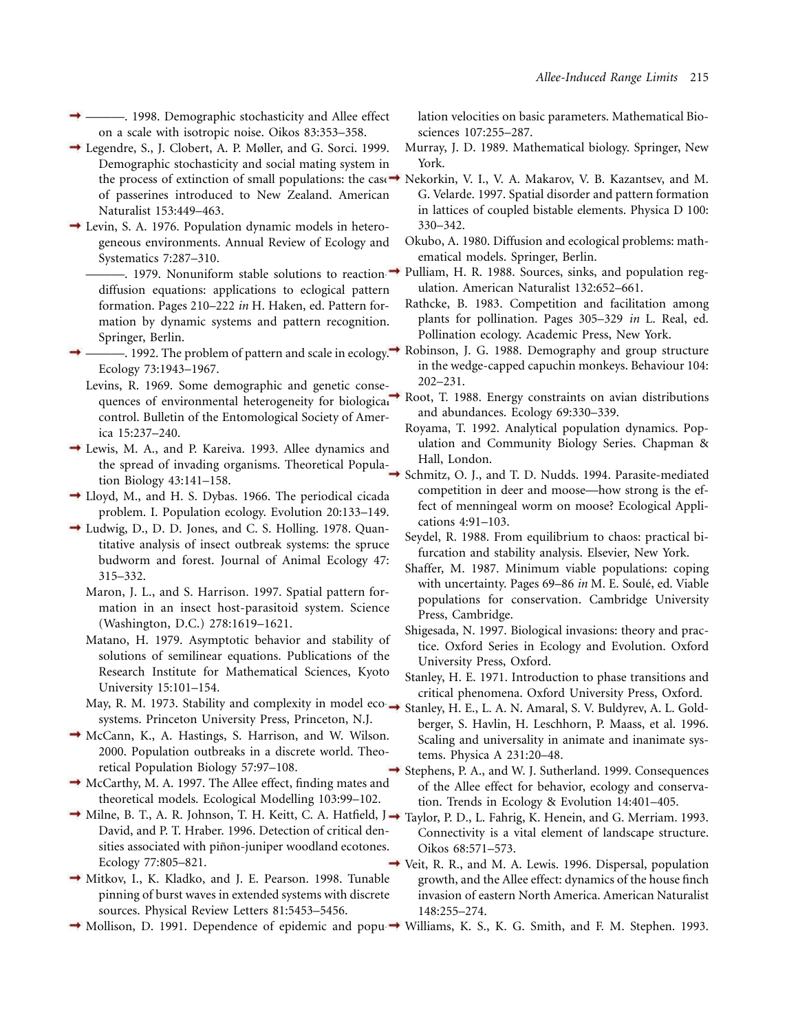- ———. 1998. Demographic stochasticity and Allee effect on a scale with isotropic noise. Oikos 83:353–358.
- Legendre, S., J. Clobert, A. P. Møller, and G. Sorci. 1999. Demographic stochasticity and social mating system in of passerines introduced to New Zealand. American Naturalist 153:449–463.
- Levin, S. A. 1976. Population dynamic models in heterogeneous environments. Annual Review of Ecology and Systematics 7:287–310.
	- $\overline{+}$  1979. Nonuniform stable solutions to reaction  $\rightarrow$ diffusion equations: applications to eclogical pattern formation. Pages 210–222 *in* H. Haken, ed. Pattern formation by dynamic systems and pattern recognition. Springer, Berlin.
- Ecology 73:1943–1967.
	- Levins, R. 1969. Some demographic and genetic consecontrol. Bulletin of the Entomological Society of America 15:237–240.
- Lewis, M. A., and P. Kareiva. 1993. Allee dynamics and the spread of invading organisms. Theoretical Population Biology 43:141–158.
- Lloyd, M., and H. S. Dybas. 1966. The periodical cicada problem. I. Population ecology. Evolution 20:133–149.
- Ludwig, D., D. D. Jones, and C. S. Holling. 1978. Quantitative analysis of insect outbreak systems: the spruce budworm and forest. Journal of Animal Ecology 47: 315–332.
	- Maron, J. L., and S. Harrison. 1997. Spatial pattern formation in an insect host-parasitoid system. Science (Washington, D.C.) 278:1619–1621.
	- Matano, H. 1979. Asymptotic behavior and stability of solutions of semilinear equations. Publications of the Research Institute for Mathematical Sciences, Kyoto University 15:101–154.
	- May, R. M. 1973. Stability and complexity in model eco  $\rightarrow$  Stanley, H. E., L. A. N. Amaral, S. V. Buldyrev, A. L. Goldsystems. Princeton University Press, Princeton, N.J.
- $\rightarrow$  McCann, K., A. Hastings, S. Harrison, and W. Wilson. 2000. Population outbreaks in a discrete world. Theoretical Population Biology 57:97–108.
- $\rightarrow$  McCarthy, M. A. 1997. The Allee effect, finding mates and theoretical models. Ecological Modelling 103:99–102.
- Milne, B. T., A. R. Johnson, T. H. Keitt, C. A. Hatfield, J + Taylor, P. D., L. Fahrig, K. Henein, and G. Merriam. 1993. David, and P. T. Hraber. 1996. Detection of critical densities associated with piñon-juniper woodland ecotones. Ecology 77:805–821.
- Mitkov, I., K. Kladko, and J. E. Pearson. 1998. Tunable pinning of burst waves in extended systems with discrete sources. Physical Review Letters 81:5453–5456.

lation velocities on basic parameters. Mathematical Biosciences 107:255–287.

- Murray, J. D. 1989. Mathematical biology. Springer, New York.
- the process of extinction of small populations: the case Nekorkin, V. I., V. A. Makarov, V. B. Kazantsev, and M. G. Velarde. 1997. Spatial disorder and pattern formation in lattices of coupled bistable elements. Physica D 100: 330–342.
	- Okubo, A. 1980. Diffusion and ecological problems: mathematical models. Springer, Berlin.
	- Pulliam, H. R. 1988. Sources, sinks, and population regulation. American Naturalist 132:652–661.
	- Rathcke, B. 1983. Competition and facilitation among plants for pollination. Pages 305–329 *in* L. Real, ed. Pollination ecology. Academic Press, New York.
- **———.** 1992. The problem of pattern and scale in ecology. ♦ Robinson, J. G. 1988. Demography and group structure in the wedge-capped capuchin monkeys. Behaviour 104: 202–231.
	- quences of environmental heterogeneity for biological Root, T. 1988. Energy constraints on avian distributions and abundances. Ecology 69:330–339.
		- Royama, T. 1992. Analytical population dynamics. Population and Community Biology Series. Chapman & Hall, London.
		- Schmitz, O. J., and T. D. Nudds. 1994. Parasite-mediated competition in deer and moose—how strong is the effect of menningeal worm on moose? Ecological Applications 4:91–103.
			- Seydel, R. 1988. From equilibrium to chaos: practical bifurcation and stability analysis. Elsevier, New York.
			- Shaffer, M. 1987. Minimum viable populations: coping with uncertainty. Pages 69–86 *in* M. E. Soulé, ed. Viable populations for conservation. Cambridge University Press, Cambridge.
			- Shigesada, N. 1997. Biological invasions: theory and practice. Oxford Series in Ecology and Evolution. Oxford University Press, Oxford.
			- Stanley, H. E. 1971. Introduction to phase transitions and critical phenomena. Oxford University Press, Oxford.
			- berger, S. Havlin, H. Leschhorn, P. Maass, et al. 1996. Scaling and universality in animate and inanimate systems. Physica A 231:20–48.
		- Stephens, P. A., and W. J. Sutherland. 1999. Consequences of the Allee effect for behavior, ecology and conservation. Trends in Ecology & Evolution 14:401–405.
			- Connectivity is a vital element of landscape structure. Oikos 68:571–573.
		- Veit, R. R., and M. A. Lewis. 1996. Dispersal, population growth, and the Allee effect: dynamics of the house finch invasion of eastern North America. American Naturalist 148:255–274.

Mollison, D. 1991. Dependence of epidemic and popu • Williams, K. S., K. G. Smith, and F. M. Stephen. 1993.